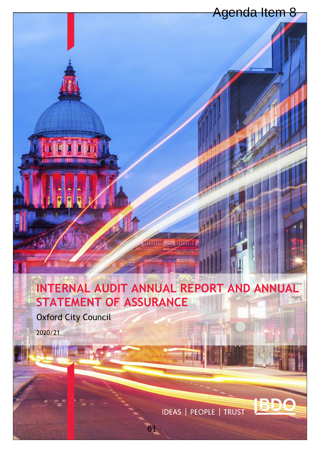# **INTERNAL AUDIT ANNUAL REPORT AND ANNUAL STATEMENT OF ASSURANCE**  Agenda Item 8<br>
Agenda Item 8<br>
INUAL REPORT AND ANNUAL<br>
IRANCE<br>
IDEAS | PEOPLE | TRUST

Oxford City Council

146434

2020/21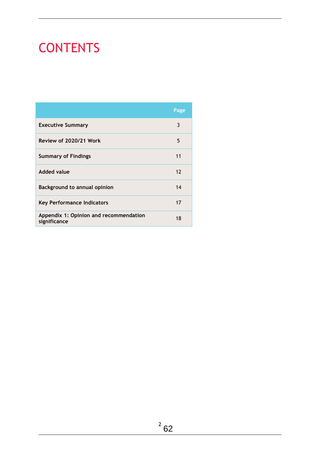# CONTENTS

|                                                        | Page |
|--------------------------------------------------------|------|
| <b>Executive Summary</b>                               | 3    |
| Review of 2020/21 Work                                 | 5    |
| <b>Summary of Findings</b>                             | 11   |
| <b>Added value</b>                                     | 12   |
| <b>Background to annual opinion</b>                    | 14   |
| <b>Key Performance Indicators</b>                      | 17   |
| Appendix 1: Opinion and recommendation<br>significance | 18   |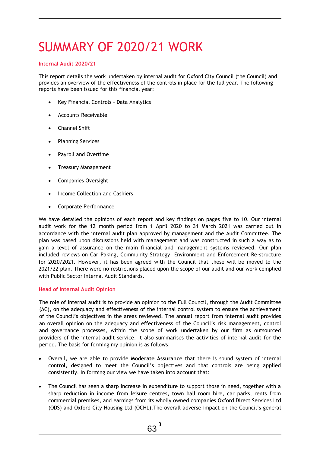# SUMMARY OF 2020/21 WORK

### **Internal Audit 2020/21**

This report details the work undertaken by internal audit for Oxford City Council (the Council) and provides an overview of the effectiveness of the controls in place for the full year. The following reports have been issued for this financial year:

- Key Financial Controls Data Analytics
- Accounts Receivable
- Channel Shift
- Planning Services
- Payroll and Overtime
- Treasury Management
- Companies Oversight
- Income Collection and Cashiers
- Corporate Performance

We have detailed the opinions of each report and key findings on pages five to 10. Our internal audit work for the 12 month period from 1 April 2020 to 31 March 2021 was carried out in accordance with the internal audit plan approved by management and the Audit Committee. The plan was based upon discussions held with management and was constructed in such a way as to gain a level of assurance on the main financial and management systems reviewed. Our plan included reviews on Car Paking, Community Strategy, Environment and Enforcement Re-structure for 2020/2021. However, it has been agreed with the Council that these will be moved to the 2021/22 plan. There were no restrictions placed upon the scope of our audit and our work complied with Public Sector Internal Audit Standards.

### **Head of Internal Audit Opinion**

The role of internal audit is to provide an opinion to the Full Council, through the Audit Committee (AC), on the adequacy and effectiveness of the internal control system to ensure the achievement of the Council's objectives in the areas reviewed. The annual report from internal audit provides an overall opinion on the adequacy and effectiveness of the Council's risk management, control and governance processes, within the scope of work undertaken by our firm as outsourced providers of the internal audit service. It also summarises the activities of internal audit for the period. The basis for forming my opinion is as follows:

- Overall, we are able to provide **Moderate Assurance** that there is sound system of internal control, designed to meet the Council's objectives and that controls are being applied consistently. In forming our view we have taken into account that:
- The Council has seen a sharp increase in expenditure to support those in need, together with a sharp reduction in income from leisure centres, town hall room hire, car parks, rents from commercial premises, and earnings from its wholly owned companies Oxford Direct Services Ltd (ODS) and Oxford City Housing Ltd (OCHL).The overall adverse impact on the Council's general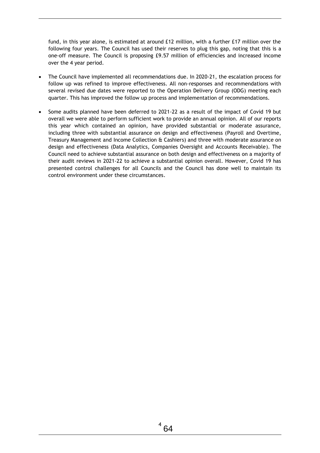fund, in this year alone, is estimated at around £12 million, with a further £17 million over the following four years. The Council has used their reserves to plug this gap, noting that this is a one-off measure. The Council is proposing £9.57 million of efficiencies and increased income over the 4 year period.

- The Council have implemented all recommendations due. In 2020-21, the escalation process for follow up was refined to improve effectiveness. All non-responses and recommendations with several revised due dates were reported to the Operation Delivery Group (ODG) meeting each quarter. This has improved the follow up process and implementation of recommendations.
- Some audits planned have been deferred to 2021-22 as a result of the impact of Covid 19 but overall we were able to perform sufficient work to provide an annual opinion. All of our reports this year which contained an opinion, have provided substantial or moderate assurance, including three with substantial assurance on design and effectiveness (Payroll and Overtime, Treasury Management and Income Collection & Cashiers) and three with moderate assurance on design and effectiveness (Data Analytics, Companies Oversight and Accounts Receivable). The Council need to achieve substantial assurance on both design and effectiveness on a majority of their audit reviews in 2021-22 to achieve a substantial opinion overall. However, Covid 19 has presented control challenges for all Councils and the Council has done well to maintain its control environment under these circumstances.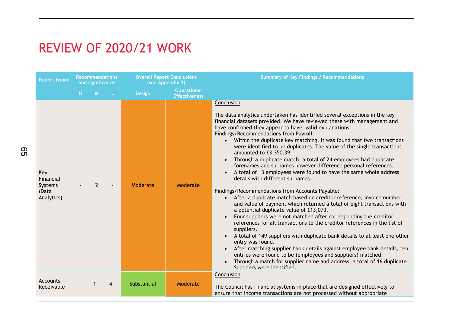# REVIEW OF 2020/21 WORK

| <b>Report Issued</b>                               | <b>Recommendations</b><br>and significance |                | <b>Overall Report Conclusions</b><br>(see Appendix 1) |               | <b>Summary of Key Findings / Recommendations</b> |                                                                                                                                                                                                                                                                                                                                                                                                                                                                                                                                                                                                                                                                                                                                                                                                                                                                                                                                                                                                                                                                                                                                                                                                                                                                                                                                                                                                                                                                                                                                       |
|----------------------------------------------------|--------------------------------------------|----------------|-------------------------------------------------------|---------------|--------------------------------------------------|---------------------------------------------------------------------------------------------------------------------------------------------------------------------------------------------------------------------------------------------------------------------------------------------------------------------------------------------------------------------------------------------------------------------------------------------------------------------------------------------------------------------------------------------------------------------------------------------------------------------------------------------------------------------------------------------------------------------------------------------------------------------------------------------------------------------------------------------------------------------------------------------------------------------------------------------------------------------------------------------------------------------------------------------------------------------------------------------------------------------------------------------------------------------------------------------------------------------------------------------------------------------------------------------------------------------------------------------------------------------------------------------------------------------------------------------------------------------------------------------------------------------------------------|
|                                                    | н.                                         | M              | <b>L</b>                                              | <b>Design</b> | <b>Operational</b><br><b>Effectiveness</b>       |                                                                                                                                                                                                                                                                                                                                                                                                                                                                                                                                                                                                                                                                                                                                                                                                                                                                                                                                                                                                                                                                                                                                                                                                                                                                                                                                                                                                                                                                                                                                       |
| Key<br>Financial<br>Systems<br>(Data<br>Analytics) |                                            | $\overline{2}$ |                                                       | Moderate      | Moderate                                         | Conclusion<br>The data analytics undertaken has identified several exceptions in the key<br>financial datasets provided. We have reviewed these with management and<br>have confirmed they appear to have valid explanations<br>Findings/Recommendations from Payroll:<br>Within the duplicate key matching, it was found that two transactions<br>$\bullet$<br>were identified to be duplicates. The value of the single transactions<br>amounted to £3,350.39.<br>Through a duplicate match, a total of 24 employees had duplicate<br>forenames and surnames however difference personal references.<br>A total of 13 employees were found to have the same whole address<br>$\bullet$<br>details with different surnames.<br>Findings/Recommendations from Accounts Payable:<br>After a duplicate match based on creditor reference, invoice number<br>$\bullet$<br>and value of payment which returned a total of eight transactions with<br>a potential duplicate value of £13,073.<br>Four suppliers were not matched after corresponding the creditor<br>references for all transactions to the creditor references in the list of<br>suppliers.<br>A total of 149 suppliers with duplicate bank details to at least one other<br>$\bullet$<br>entry was found.<br>After matching supplier bank details against employee bank details, ten<br>$\bullet$<br>entries were found to be (employees and suppliers) matched.<br>Through a match for supplier name and address, a total of 16 duplicate<br>Suppliers were identified. |
| Accounts<br>Receivable                             |                                            |                | 4                                                     | Substantial   | Moderate                                         | Conclusion<br>The Council has financial systems in place that are designed effectively to<br>ensure that income transactions are not processed without appropriate                                                                                                                                                                                                                                                                                                                                                                                                                                                                                                                                                                                                                                                                                                                                                                                                                                                                                                                                                                                                                                                                                                                                                                                                                                                                                                                                                                    |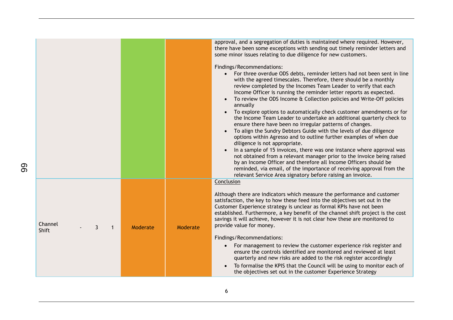|                                                          |          | approval, and a segregation of duties is maintained where required. However,<br>there have been some exceptions with sending out timely reminder letters and<br>some minor issues relating to due diligence for new customers.<br>Findings/Recommendations:<br>For three overdue ODS debts, reminder letters had not been sent in line<br>$\bullet$                                                                                                                                                                                                                                                                                                                                                                                                                                                                                                                                                                                                                                                                                                                             |
|----------------------------------------------------------|----------|---------------------------------------------------------------------------------------------------------------------------------------------------------------------------------------------------------------------------------------------------------------------------------------------------------------------------------------------------------------------------------------------------------------------------------------------------------------------------------------------------------------------------------------------------------------------------------------------------------------------------------------------------------------------------------------------------------------------------------------------------------------------------------------------------------------------------------------------------------------------------------------------------------------------------------------------------------------------------------------------------------------------------------------------------------------------------------|
|                                                          |          | with the agreed timescales. Therefore, there should be a monthly<br>review completed by the Incomes Team Leader to verify that each<br>Income Officer is running the reminder letter reports as expected.<br>To review the ODS Income & Collection policies and Write-Off policies<br>annually<br>To explore options to automatically check customer amendments or for<br>$\bullet$<br>the Income Team Leader to undertake an additional quarterly check to<br>ensure there have been no irregular patterns of changes.<br>To align the Sundry Debtors Guide with the levels of due diligence<br>$\bullet$<br>options within Agresso and to outline further examples of when due<br>diligence is not appropriate.<br>In a sample of 15 invoices, there was one instance where approval was<br>not obtained from a relevant manager prior to the invoice being raised<br>by an Income Officer and therefore all Income Officers should be<br>reminded, via email, of the importance of receiving approval from the<br>relevant Service Area signatory before raising an invoice. |
| Channel<br>3<br>Moderate<br>$\mathbf{1}$<br><b>Shift</b> | Moderate | Conclusion<br>Although there are indicators which measure the performance and customer<br>satisfaction, the key to how these feed into the objectives set out in the<br>Customer Experience strategy is unclear as formal KPIs have not been<br>established. Furthermore, a key benefit of the channel shift project is the cost<br>savings it will achieve, however it is not clear how these are monitored to<br>provide value for money.<br>Findings/Recommendations:<br>For management to review the customer experience risk register and<br>$\bullet$<br>ensure the controls identified are monitored and reviewed at least<br>quarterly and new risks are added to the risk register accordingly<br>To formalise the KPIS that the Council will be using to monitor each of<br>the objectives set out in the customer Experience Strategy                                                                                                                                                                                                                                |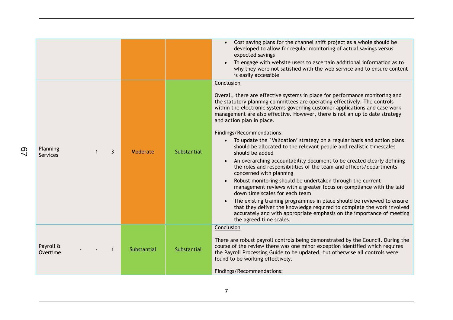| Planning<br>$\mathbf{3}$<br><b>Services</b> | Moderate    | Substantial | Cost saving plans for the channel shift project as a whole should be<br>developed to allow for regular monitoring of actual savings versus<br>expected savings<br>To engage with website users to ascertain additional information as to<br>$\bullet$<br>why they were not satisfied with the web service and to ensure content<br>is easily accessible<br>Conclusion<br>Overall, there are effective systems in place for performance monitoring and<br>the statutory planning committees are operating effectively. The controls<br>within the electronic systems governing customer applications and case work<br>management are also effective. However, there is not an up to date strategy<br>and action plan in place.<br>Findings/Recommendations:<br>To update the `Validation' strategy on a regular basis and action plans<br>should be allocated to the relevant people and realistic timescales<br>should be added<br>An overarching accountability document to be created clearly defining<br>the roles and responsibilities of the team and officers/departments<br>concerned with planning<br>Robust monitoring should be undertaken through the current<br>$\bullet$<br>management reviews with a greater focus on compliance with the laid<br>down time scales for each team<br>The existing training programmes in place should be reviewed to ensure<br>$\bullet$<br>that they deliver the knowledge required to complete the work involved<br>accurately and with appropriate emphasis on the importance of meeting<br>the agreed time scales. |
|---------------------------------------------|-------------|-------------|---------------------------------------------------------------------------------------------------------------------------------------------------------------------------------------------------------------------------------------------------------------------------------------------------------------------------------------------------------------------------------------------------------------------------------------------------------------------------------------------------------------------------------------------------------------------------------------------------------------------------------------------------------------------------------------------------------------------------------------------------------------------------------------------------------------------------------------------------------------------------------------------------------------------------------------------------------------------------------------------------------------------------------------------------------------------------------------------------------------------------------------------------------------------------------------------------------------------------------------------------------------------------------------------------------------------------------------------------------------------------------------------------------------------------------------------------------------------------------------------------------------------------------------------------------------------|
| Payroll &<br>1<br>Overtime                  | Substantial | Substantial | Conclusion<br>There are robust payroll controls being demonstrated by the Council. During the<br>course of the review there was one minor exception identified which requires<br>the Payroll Processing Guide to be updated, but otherwise all controls were<br>found to be working effectively.<br>Findings/Recommendations:                                                                                                                                                                                                                                                                                                                                                                                                                                                                                                                                                                                                                                                                                                                                                                                                                                                                                                                                                                                                                                                                                                                                                                                                                                       |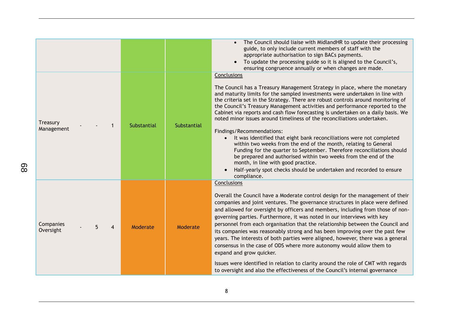|                                               |             |             | The Council should liaise with MidlandHR to update their processing<br>guide, to only include current members of staff with the<br>appropriate authorisation to sign BACs payments.<br>To update the processing guide so it is aligned to the Council's,<br>$\bullet$<br>ensuring congruence annually or when changes are made.                                                                                                                                                                                                                                                                                                                                                                                                                                                                                                                                                                                                                                |
|-----------------------------------------------|-------------|-------------|----------------------------------------------------------------------------------------------------------------------------------------------------------------------------------------------------------------------------------------------------------------------------------------------------------------------------------------------------------------------------------------------------------------------------------------------------------------------------------------------------------------------------------------------------------------------------------------------------------------------------------------------------------------------------------------------------------------------------------------------------------------------------------------------------------------------------------------------------------------------------------------------------------------------------------------------------------------|
| Treasury<br>Management                        | Substantial | Substantial | Conclusions<br>The Council has a Treasury Management Strategy in place, where the monetary<br>and maturity limits for the sampled investments were undertaken in line with<br>the criteria set in the Strategy. There are robust controls around monitoring of<br>the Council's Treasury Management activities and performance reported to the<br>Cabinet via reports and cash flow forecasting is undertaken on a daily basis. We<br>noted minor issues around timeliness of the reconciliations undertaken.<br>Findings/Recommendations:<br>It was identified that eight bank reconciliations were not completed<br>within two weeks from the end of the month, relating to General<br>Funding for the quarter to September. Therefore reconciliations should<br>be prepared and authorised within two weeks from the end of the<br>month, in line with good practice.<br>Half-yearly spot checks should be undertaken and recorded to ensure<br>compliance. |
| Companies<br>5<br>$\overline{4}$<br>Oversight | Moderate    | Moderate    | Conclusions<br>Overall the Council have a Moderate control design for the management of their<br>companies and joint ventures. The governance structures in place were defined<br>and allowed for oversight by officers and members, including from those of non-<br>governing parties. Furthermore, it was noted in our interviews with key<br>personnel from each organisation that the relationship between the Council and<br>its companies was reasonably strong and has been improving over the past few<br>years. The interests of both parties were aligned, however, there was a general<br>consensus in the case of ODS where more autonomy would allow them to<br>expand and grow quicker.<br>Issues were identified in relation to clarity around the role of CMT with regards<br>to oversight and also the effectiveness of the Council's internal governance                                                                                     |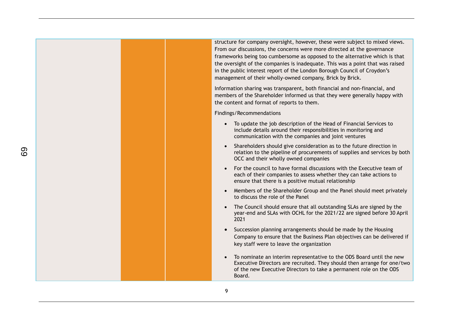structure for company oversight, however, these were subject to mixed views. From our discussions, the concerns were more directed at the governance frameworks being too cumbersome as opposed to the alternative which is that the oversight of the companies is inadequate. This was a point that was raised in the public interest report of the London Borough Council of Croydon's management of their wholly-owned company, Brick by Brick.

Information sharing was transparent, both financial and non-financial, and members of the Shareholder informed us that they were generally happy with the content and format of reports to them.

Findings/Recommendations

- To update the job description of the Head of Financial Services to include details around their responsibilities in monitoring and communication with the companies and joint ventures
- Shareholders should give consideration as to the future direction in relation to the pipeline of procurements of supplies and services by both OCC and their wholly owned companies
- For the council to have formal discussions with the Executive team of each of their companies to assess whether they can take actions to ensure that there is a positive mutual relationship
- Members of the Shareholder Group and the Panel should meet privately to discuss the role of the Panel
- The Council should ensure that all outstanding SLAs are signed by the year-end and SLAs with OCHL for the 2021/22 are signed before 30 April 2021
- Succession planning arrangements should be made by the Housing Company to ensure that the Business Plan objectives can be delivered if key staff were to leave the organization
- To nominate an interim representative to the ODS Board until the new Executive Directors are recruited. They should then arrange for one/two of the new Executive Directors to take a permanent role on the ODS Board.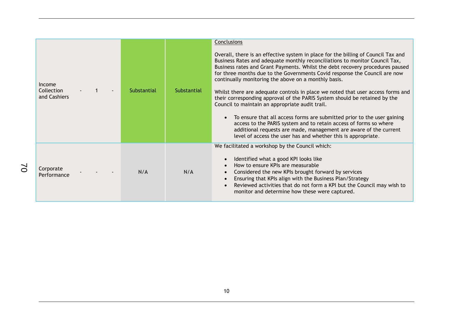| Income<br>Collection<br>and Cashiers | Substantial | Substantial | Conclusions<br>Overall, there is an effective system in place for the billing of Council Tax and<br>Business Rates and adequate monthly reconciliations to monitor Council Tax,<br>Business rates and Grant Payments. Whilst the debt recovery procedures paused<br>for three months due to the Governments Covid response the Council are now<br>continually monitoring the above on a monthly basis.<br>Whilst there are adequate controls in place we noted that user access forms and<br>their corresponding approval of the PARIS System should be retained by the<br>Council to maintain an appropriate audit trail.<br>To ensure that all access forms are submitted prior to the user gaining<br>$\bullet$<br>access to the PARIS system and to retain access of forms so where<br>additional requests are made, management are aware of the current<br>level of access the user has and whether this is appropriate. |
|--------------------------------------|-------------|-------------|-------------------------------------------------------------------------------------------------------------------------------------------------------------------------------------------------------------------------------------------------------------------------------------------------------------------------------------------------------------------------------------------------------------------------------------------------------------------------------------------------------------------------------------------------------------------------------------------------------------------------------------------------------------------------------------------------------------------------------------------------------------------------------------------------------------------------------------------------------------------------------------------------------------------------------|
| Corporate<br>Performance             | N/A         | N/A         | We facilitated a workshop by the Council which:<br>Identified what a good KPI looks like<br>$\bullet$<br>How to ensure KPIs are measurable<br>$\bullet$<br>Considered the new KPIs brought forward by services<br>$\bullet$<br>Ensuring that KPIs align with the Business Plan/Strategy<br>$\bullet$<br>Reviewed activities that do not form a KPI but the Council may wish to<br>$\bullet$<br>monitor and determine how these were captured.                                                                                                                                                                                                                                                                                                                                                                                                                                                                                 |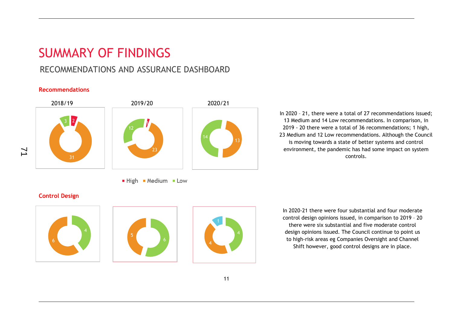# SUMMARY OF FINDINGS

## RECOMMENDATIONS AND ASSURANCE DASHBOARD

### **Recommendations**



High Medium Low

In 2020 – 21, there were a total of 27 recommendations issued; 13 Medium and 14 Low recommendations. In comparison, in 2019 - 20 there were a total of 36 recommendations; 1 high, 23 Medium and 12 Low recommendations. Although the Council is moving towards a state of better systems and control environment, the pandemic has had some impact on system controls.

### **Control Design**

71







In 2020-21 there were four substantial and four moderate control design opinions issued, in comparison to 2019 – 20 there were six substantial and five moderate control design opinions issued. The Council continue to point us to high-risk areas eg Companies Oversight and Channel Shift however, good control designs are in place.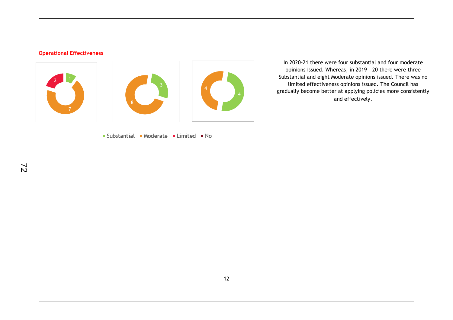### **Operational Effectiveness**



Substantial Moderate Limited No

In 2020-21 there were four substantial and four moderate opinions issued. Whereas, in 2019 – 20 there were three Substantial and eight Moderate opinions issued. There was no limited effectiveness opinions issued. The Council has gradually become better at applying policies more consistently and effectively.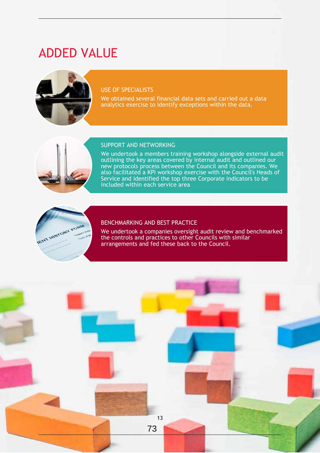# ADDED VALUE



### USE OF SPECIALISTS

We obtained several financial data sets and carried out a data analytics exercise to identify exceptions within the data.



### SUPPORT AND NETWORKING

We undertook a members training workshop alongside external audit outlining the key areas covered by internal audit and outlined our new protocols process between the Council and its companies. We also facilitated a KPI workshop exercise with the Council's Heads of Service and identified the top three Corporate indicators to be included within each service area



### BENCHMARKING AND BEST PRACTICE

We undertook a companies oversight audit review and benchmarked the controls and practices to other Councils with similar arrangements and fed these back to the Council.

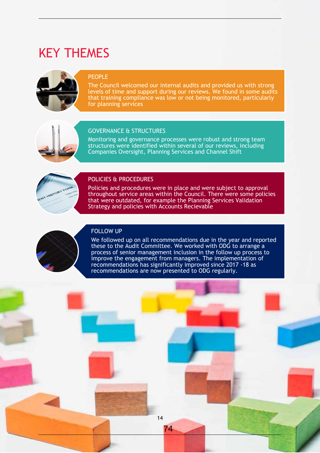# KEY THEMES



### PEOPLE

The Council welcomed our internal audits and provided us with strong levels of time and support during our reviews. We found in some audits that training compliance was low or not being monitored, particularly for planning services



### GOVERNANCE & STRUCTURES

Monitoring and governance processes were robust and strong team structures were identified within several of our reviews, including Companies Oversight, Planning Services and Channel Shift



### POLICIES & PROCEDURES

Policies and procedures were in place and were subject to approval throughout service areas within the Council. There were some policies that were outdated, for example the Planning Services Validation Strategy and policies with Accounts Recievable

### FOLLOW UP



We followed up on all recommendations due in the year and reported these to the Audit Committee. We worked with ODG to arrange a process of senior management inclusion in the follow up process to improve the engagement from managers. The implementation of recommendations has significantly improved since 2017 -18 as recommendations are now presented to ODG regularly.

14

74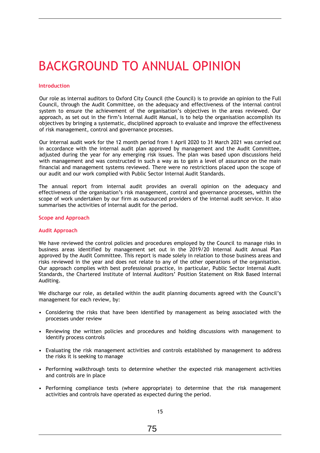# BACKGROUND TO ANNUAL OPINION

### **Introduction**

Our role as internal auditors to Oxford City Council (the Council) is to provide an opinion to the Full Council, through the Audit Committee, on the adequacy and effectiveness of the internal control system to ensure the achievement of the organisation's objectives in the areas reviewed. Our approach, as set out in the firm's Internal Audit Manual, is to help the organisation accomplish its objectives by bringing a systematic, disciplined approach to evaluate and improve the effectiveness of risk management, control and governance processes.

Our internal audit work for the 12 month period from 1 April 2020 to 31 March 2021 was carried out in accordance with the internal audit plan approved by management and the Audit Committee, adjusted during the year for any emerging risk issues. The plan was based upon discussions held with management and was constructed in such a way as to gain a level of assurance on the main financial and management systems reviewed. There were no restrictions placed upon the scope of our audit and our work complied with Public Sector Internal Audit Standards.

The annual report from internal audit provides an overall opinion on the adequacy and effectiveness of the organisation's risk management, control and governance processes, within the scope of work undertaken by our firm as outsourced providers of the internal audit service. It also summarises the activities of internal audit for the period.

### **Scope and Approach**

### **Audit Approach**

We have reviewed the control policies and procedures employed by the Council to manage risks in business areas identified by management set out in the 2019/20 Internal Audit Annual Plan approved by the Audit Committee. This report is made solely in relation to those business areas and risks reviewed in the year and does not relate to any of the other operations of the organisation. Our approach complies with best professional practice, in particular, Public Sector Internal Audit Standards, the Chartered Institute of Internal Auditors' Position Statement on Risk Based Internal Auditing.

We discharge our role, as detailed within the audit planning documents agreed with the Council's management for each review, by:

- Considering the risks that have been identified by management as being associated with the processes under review
- Reviewing the written policies and procedures and holding discussions with management to identify process controls
- Evaluating the risk management activities and controls established by management to address the risks it is seeking to manage
- Performing walkthrough tests to determine whether the expected risk management activities and controls are in place
- Performing compliance tests (where appropriate) to determine that the risk management activities and controls have operated as expected during the period.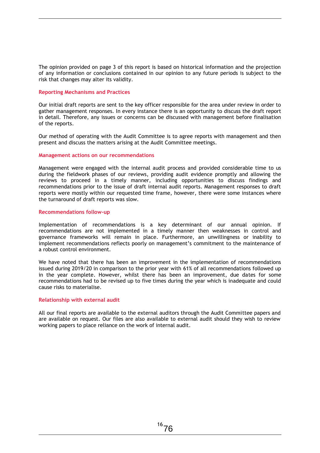The opinion provided on page 3 of this report is based on historical information and the projection of any information or conclusions contained in our opinion to any future periods is subject to the risk that changes may alter its validity.

### **Reporting Mechanisms and Practices**

Our initial draft reports are sent to the key officer responsible for the area under review in order to gather management responses. In every instance there is an opportunity to discuss the draft report in detail. Therefore, any issues or concerns can be discussed with management before finalisation of the reports.

Our method of operating with the Audit Committee is to agree reports with management and then present and discuss the matters arising at the Audit Committee meetings.

### **Management actions on our recommendations**

Management were engaged with the internal audit process and provided considerable time to us during the fieldwork phases of our reviews, providing audit evidence promptly and allowing the reviews to proceed in a timely manner, including opportunities to discuss findings and recommendations prior to the issue of draft internal audit reports. Management responses to draft reports were mostly within our requested time frame, however, there were some instances where the turnaround of draft reports was slow.

### **Recommendations follow-up**

Implementation of recommendations is a key determinant of our annual opinion. If recommendations are not implemented in a timely manner then weaknesses in control and governance frameworks will remain in place. Furthermore, an unwillingness or inability to implement recommendations reflects poorly on management's commitment to the maintenance of a robust control environment.

We have noted that there has been an improvement in the implementation of recommendations issued during 2019/20 in comparison to the prior year with 61% of all recommendations followed up in the year complete. However, whilst there has been an improvement, due dates for some recommendations had to be revised up to five times during the year which is inadequate and could cause risks to materialise.

### **Relationship with external audit**

All our final reports are available to the external auditors through the Audit Committee papers and are available on request. Our files are also available to external audit should they wish to review working papers to place reliance on the work of internal audit.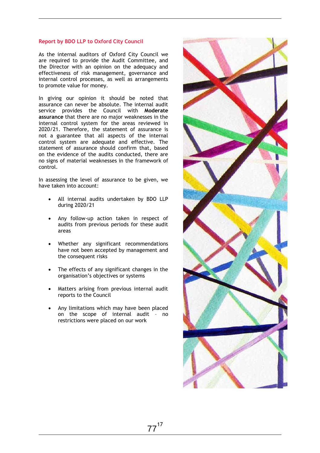### **Report by BDO LLP to Oxford City Council**

As the internal auditors of Oxford City Council we are required to provide the Audit Committee, and the Director with an opinion on the adequacy and effectiveness of risk management, governance and internal control processes, as well as arrangements to promote value for money.

In giving our opinion it should be noted that assurance can never be absolute. The internal audit service provides the Council with **Moderate assurance** that there are no major weaknesses in the internal control system for the areas reviewed in 2020/21. Therefore, the statement of assurance is not a guarantee that all aspects of the internal control system are adequate and effective. The statement of assurance should confirm that, based on the evidence of the audits conducted, there are no signs of material weaknesses in the framework of control.

In assessing the level of assurance to be given, we have taken into account:

- All internal audits undertaken by BDO LLP during 2020/21
- Any follow-up action taken in respect of audits from previous periods for these audit areas
- Whether any significant recommendations have not been accepted by management and the consequent risks
- The effects of any significant changes in the organisation's objectives or systems
- Matters arising from previous internal audit reports to the Council
- Any limitations which may have been placed on the scope of internal audit – no restrictions were placed on our work

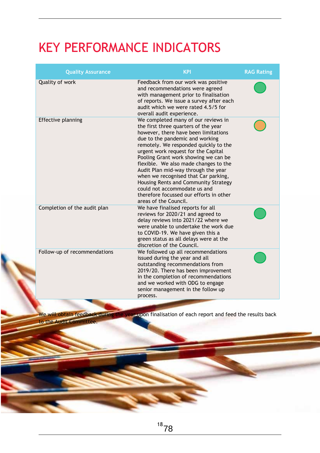# KEY PERFORMANCE INDICATORS

| <b>Quality Assurance</b>     | <b>KPI</b>                                                                                                                                                                                                                                                                                                                                                                                                                                                                                                                                         | <b>RAG Rating</b> |
|------------------------------|----------------------------------------------------------------------------------------------------------------------------------------------------------------------------------------------------------------------------------------------------------------------------------------------------------------------------------------------------------------------------------------------------------------------------------------------------------------------------------------------------------------------------------------------------|-------------------|
| Quality of work              | Feedback from our work was positive<br>and recommendations were agreed<br>with management prior to finalisation<br>of reports. We issue a survey after each<br>audit which we were rated 4.5/5 for<br>overall audit experience.                                                                                                                                                                                                                                                                                                                    |                   |
| Effective planning           | We completed many of our reviews in<br>the first three quarters of the year<br>however, there have been limitations<br>due to the pandemic and working<br>remotely. We responded quickly to the<br>urgent work request for the Capital<br>Pooling Grant work showing we can be<br>flexible. We also made changes to the<br>Audit Plan mid-way through the year<br>when we recognised that Car parking,<br>Housing Rents and Community Strategy<br>could not accommodate us and<br>therefore focussed our efforts in other<br>areas of the Council. |                   |
| Completion of the audit plan | We have finalised reports for all<br>reviews for 2020/21 and agreed to<br>delay reviews into 2021/22 where we<br>were unable to undertake the work due<br>to COVID-19. We have given this a<br>green status as all delays were at the<br>discretion of the Council.                                                                                                                                                                                                                                                                                |                   |
| Follow-up of recommendations | We followed up all recommendations<br>issued during the year and all<br>outstanding recommendations from<br>2019/20. There has been improvement<br>in the completion of recommendations<br>and we worked with ODG to engage<br>senior management in the follow up<br>process.                                                                                                                                                                                                                                                                      |                   |

We will obtain feedback during the year upon finalisation of each report and feed the results back

to the Audit Committee.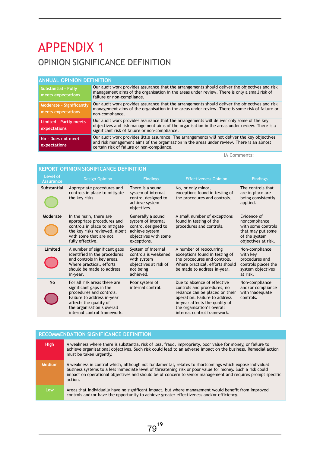# APPENDIX 1 OPINION SIGNIFICANCE DEFINITION

### **Audit Recommendation made Priority ANNUAL OPINION DEFINITION**

| <b>ANNUAL UPINIUN DEFINITIUN</b>                 |                                                                                                                                                                                                                                              |
|--------------------------------------------------|----------------------------------------------------------------------------------------------------------------------------------------------------------------------------------------------------------------------------------------------|
| <b>Substantial - Fully</b><br>meets expectations | Our audit work provides assurance that the arrangements should deliver the objectives and risk<br>management aims of the organisation in the areas under review. There is only a small risk of<br>failure or non-compliance.                 |
| Moderate - Significantly<br>meets expectations   | Our audit work provides assurance that the arrangements should deliver the objectives and risk<br>management aims of the organisation in the areas under review. There is some risk of failure or<br>non-compliance.                         |
| <b>Limited - Partly meets</b><br>expectations    | Our audit work provides assurance that the arrangements will deliver only some of the key<br>objectives and risk management aims of the organisation in the areas under review. There is a<br>significant risk of failure or non-compliance. |
| No - Does not meet<br>expectations               | Our audit work provides little assurance. The arrangements will not deliver the key objectives<br>and risk management aims of the organisation in the areas under review. There is an almost<br>certain risk of failure or non-compliance.   |

IA Comments:

| <b>REPORT OPINION SIGNIFICANCE DEFINITION</b> |                                                                                                                                                                                                          |                                                                                                                         |                                                                                                                                                                                                                               |                                                                                                                 |  |
|-----------------------------------------------|----------------------------------------------------------------------------------------------------------------------------------------------------------------------------------------------------------|-------------------------------------------------------------------------------------------------------------------------|-------------------------------------------------------------------------------------------------------------------------------------------------------------------------------------------------------------------------------|-----------------------------------------------------------------------------------------------------------------|--|
| Level of<br><b>Assurance</b>                  | <b>Design Opinion</b>                                                                                                                                                                                    | <b>Findings</b>                                                                                                         | <b>Effectiveness Opinion</b>                                                                                                                                                                                                  | <b>Findings</b>                                                                                                 |  |
| <b>Substantial</b>                            | Appropriate procedures and<br>controls in place to mitigate<br>the key risks.                                                                                                                            | There is a sound<br>system of internal<br>control designed to<br>achieve system<br>objectives.                          | No, or only minor,<br>exceptions found in testing of<br>the procedures and controls.                                                                                                                                          | The controls that<br>are in place are<br>being consistently<br>applied.                                         |  |
| Moderate                                      | In the main, there are<br>appropriate procedures and<br>controls in place to mitigate<br>the key risks reviewed, albeit<br>with some that are not<br>fully effective.                                    | Generally a sound<br>system of internal<br>control designed to<br>achieve system<br>objectives with some<br>exceptions. | A small number of exceptions<br>found in testing of the<br>procedures and controls.                                                                                                                                           | Evidence of<br>noncompliance<br>with some controls<br>that may put some<br>of the system<br>objectives at risk. |  |
| Limited                                       | A number of significant gaps<br>identified in the procedures<br>and controls in key areas.<br>Where practical, efforts<br>should be made to address<br>in-year.                                          | System of internal<br>controls is weakened<br>with system<br>objectives at risk of<br>not being<br>achieved.            | A number of reoccurring<br>exceptions found in testing of<br>the procedures and controls.<br>Where practical, efforts should<br>be made to address in-year.                                                                   | Non-compliance<br>with key<br>procedures and<br>controls places the<br>system objectives<br>at risk.            |  |
| No                                            | For all risk areas there are<br>significant gaps in the<br>procedures and controls.<br>Failure to address in-year<br>affects the quality of<br>the organisation's overall<br>internal control framework. | Poor system of<br>internal control.                                                                                     | Due to absence of effective<br>controls and procedures, no<br>reliance can be placed on their<br>operation. Failure to address<br>in-year affects the quality of<br>the organisation's overall<br>internal control framework. | Non-compliance<br>and/or compliance<br>with inadequate<br>controls.                                             |  |

|             | <b>RECOMMENDATION SIGNIFICANCE DEFINITION</b>                                                                                                                                                                                                                                                                                                 |  |  |  |
|-------------|-----------------------------------------------------------------------------------------------------------------------------------------------------------------------------------------------------------------------------------------------------------------------------------------------------------------------------------------------|--|--|--|
| <b>High</b> | A weakness where there is substantial risk of loss, fraud, impropriety, poor value for money, or failure to<br>achieve organisational objectives. Such risk could lead to an adverse impact on the business. Remedial action<br>must be taken urgently.                                                                                       |  |  |  |
| Medium      | A weakness in control which, although not fundamental, relates to shortcomings which expose individual<br>business systems to a less immediate level of threatening risk or poor value for money. Such a risk could<br>impact on operational objectives and should be of concern to senior management and requires prompt specific<br>action. |  |  |  |
| Low         | Areas that individually have no significant impact, but where management would benefit from improved<br>controls and/or have the opportunity to achieve greater effectiveness and/or efficiency.                                                                                                                                              |  |  |  |